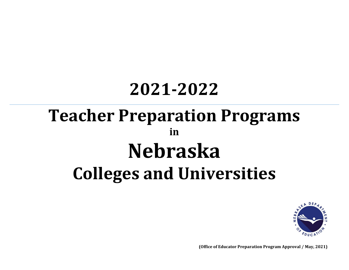## **2021-2022**

# **Teacher Preparation Programs in Nebraska Colleges and Universities**



**(Office of Educator Preparation Program Approval / May, 2021)**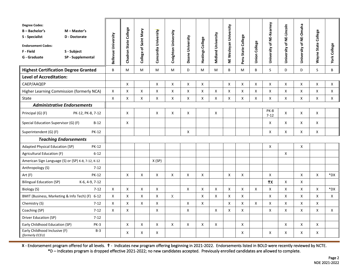| <b>Degree Codes:</b><br>B-Bachelor's<br>S - Specialist<br><b>Endorsement Codes:</b><br>F - Field<br>G - Graduate | $M - Master's$<br>D - Doctorate<br>S - Subject<br>SP - Supplemental | Bellevue University | Chadron State College | College of Saint Mary | Concordia University | Creighton University | Doane University   | Hastings College          | Midland University | NE Wesleyan University | Peru State College | <b>Union College</b> | University of NE-Kearney | University of NE-Lincoln | University of NE-Omaha | Wayne State College | <b>York College</b> |
|------------------------------------------------------------------------------------------------------------------|---------------------------------------------------------------------|---------------------|-----------------------|-----------------------|----------------------|----------------------|--------------------|---------------------------|--------------------|------------------------|--------------------|----------------------|--------------------------|--------------------------|------------------------|---------------------|---------------------|
| <b>Highest Certification Degree Granted</b>                                                                      |                                                                     | B                   | M                     | M                     | M                    | M                    | D                  | M                         | M                  | B                      | M                  | B                    | S                        | D                        | D                      | S                   | B                   |
| <b>Level of Accreditation:</b>                                                                                   |                                                                     |                     |                       |                       |                      |                      |                    |                           |                    |                        |                    |                      |                          |                          |                        |                     |                     |
| CAEP/AAQEP                                                                                                       |                                                                     |                     | X                     |                       | X                    | X                    | X                  | X                         |                    | X                      | X                  | X                    | X                        | X                        | X                      | X                   | X                   |
| Higher Learning Commission (formerly NCA)                                                                        |                                                                     | $\mathsf{X}$        | $\mathsf{X}$          | X                     | X                    | $\mathsf{x}$         | X                  | $\boldsymbol{\mathsf{X}}$ | X                  | X                      | $\pmb{\times}$     | X                    | $\pmb{\times}$           | X                        | $\mathsf{x}$           | X                   | $\mathsf{X}$        |
| State                                                                                                            |                                                                     | X                   | X                     | X                     | X                    | X                    | X                  | X                         | X                  | X                      | X                  | X                    | X                        | X                        | X                      | X                   | X                   |
| <b>Administrative Endorsements</b>                                                                               |                                                                     |                     |                       |                       |                      |                      |                    |                           |                    |                        |                    |                      |                          |                          |                        |                     |                     |
| Principal (G) (F)                                                                                                | PK-12, PK-8, 7-12                                                   |                     | X                     |                       | X                    | Χ                    | X                  |                           | X                  |                        |                    |                      | PK-8<br>$7 - 12$         | X                        | X                      | X                   |                     |
| Special Education Supervisor (G) (F)<br>$B-12$                                                                   |                                                                     |                     | X                     |                       |                      |                      |                    |                           |                    |                        |                    |                      | X                        | X                        | X                      | X                   |                     |
| <b>PK-12</b><br>Superintendent (G) (F)                                                                           |                                                                     |                     |                       |                       |                      |                      | X                  |                           |                    |                        |                    |                      | $\mathsf{X}$             | X                        | X                      | X                   |                     |
| <b>Teaching Endorsements</b>                                                                                     |                                                                     |                     |                       |                       |                      |                      |                    |                           |                    |                        |                    |                      |                          |                          |                        |                     |                     |
| <b>Adapted Physical Education (SP)</b><br><b>PK-12</b>                                                           |                                                                     |                     |                       |                       |                      |                      |                    |                           |                    |                        |                    |                      | X                        |                          | X                      |                     |                     |
| Agricultural Education (F)                                                                                       | $6 - 12$                                                            |                     |                       |                       |                      |                      |                    |                           |                    |                        |                    |                      |                          | X                        |                        |                     |                     |
| American Sign Language (S) or (SP) K-8, 7-12, K-12                                                               |                                                                     |                     |                       |                       | X(SP)                |                      |                    |                           |                    |                        |                    |                      |                          |                          |                        |                     |                     |
| Anthropology (S)                                                                                                 | $7 - 12$                                                            |                     |                       |                       |                      |                      |                    |                           |                    |                        |                    |                      |                          |                          |                        |                     |                     |
| Art (F)                                                                                                          | <b>PK-12</b>                                                        |                     | X                     | X                     | X                    | X                    | X                  | X                         |                    | X                      | X                  |                      | X                        |                          | X                      | X                   | *DX                 |
| <b>Bilingual Education (SP)</b>                                                                                  | K-6, 4-9, 7-12                                                      |                     |                       |                       |                      |                      |                    |                           |                    |                        |                    |                      | $+x$                     | X                        | X                      |                     |                     |
| Biology (S)                                                                                                      | $7 - 12$                                                            | Χ                   | X                     | X                     | X                    |                      | $\pmb{\mathsf{X}}$ | X                         | X                  | X                      | $\pmb{\mathsf{X}}$ | $\mathsf{X}$         | X                        | X                        | X                      | X                   | $*$ DX              |
| BMIT (Business, Marketing & Info Tech) (F) 6-12                                                                  |                                                                     | X                   | X                     | Χ                     | X                    | X                    |                    | X                         | X                  | X                      | X                  |                      | X                        | X                        | X                      | X                   | X                   |
| Chemistry (S)                                                                                                    | $7 - 12$                                                            | X                   | X                     | Χ                     | X                    |                      | $\mathsf{X}$       | Χ                         |                    | X                      | $\mathsf X$        | X                    | X                        | X                        | X                      | X                   |                     |
| Coaching (SP)                                                                                                    | $7 - 12$                                                            | X                   | X                     |                       | X                    |                      | X                  |                           | $\mathsf{X}$       | $\mathsf{X}$           | X                  |                      | X                        | X                        | X                      | $\pmb{\mathsf{X}}$  | $\mathsf{X}$        |
| Driver Education (SP)                                                                                            | $7 - 12$                                                            |                     |                       |                       |                      |                      |                    |                           |                    |                        |                    |                      |                          |                          |                        |                     |                     |
| Early Childhood Education (SP)                                                                                   | <b>PK-3</b>                                                         |                     | X                     | Χ                     | Χ                    | $\mathsf{X}$         | X                  | X                         | X                  |                        | X                  |                      |                          | X                        | X                      | X                   |                     |
| Early Childhood Inclusive (F)<br>(formerly ECEU)                                                                 | $B-3$                                                               |                     | X                     | X                     | X                    |                      |                    |                           |                    |                        | X                  |                      | X                        | X                        | X                      | X                   |                     |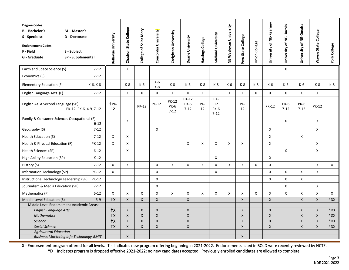| $\mathsf{X}$<br>$\mathsf{X}$<br>Earth and Space Science (S)<br>$7 - 12$<br>$7 - 12$<br>Economics (S)<br>$K-6$<br>Elementary Education (F)<br>K-8<br>K-6<br>$K-8$<br>K-6<br>K-8<br>$K-8$<br>$K-6$<br>K-8<br>$K-8$<br>K-6<br>$K-6$<br>$K-8$<br>K-6, K-8<br>K-6<br>$K-8$<br>$\mathsf{X}$<br>$\mathsf{X}$<br>English Language Arts (F)<br>$7 - 12$<br>X<br>X<br>$\mathsf{X}$<br>$\mathsf{x}$<br>$\mathsf{x}$<br>X<br>X<br>X<br>X<br>$\mathsf{x}$<br>X<br><b>PK-12</b><br>PK-<br><b>PK-12</b><br>TPK-<br><b>PK-12</b><br><b>PK-6</b><br>PK-<br>12<br>PK-<br><b>PK-6</b><br><b>PK-6</b><br>English As A Second Language (SP)<br><b>PK-12</b><br><b>PK-6</b><br><b>PK-12</b><br><b>PK-12</b><br>$7 - 12$<br>PK-12, PK-6, 4-9, 7-12<br>$7 - 12$<br>12<br><b>PK-6</b><br>$7 - 12$<br>12<br>12<br>$7 - 12$<br>$7 - 12$<br>Family & Consumer Sciences Occupational (F)<br>X<br>X<br>X<br>$6 - 12$<br>$7 - 12$<br>X<br>X<br>X<br>Geography (S)<br>$\mathsf{x}$<br>X<br>X<br>Χ<br>Health Education (S)<br>$7 - 12$<br>X<br>X<br>Χ<br>Χ<br>X<br>X<br>X<br>X<br>X<br>Health & Physical Education (F)<br><b>PK-12</b><br>Health Sciences (SP)<br>$6 - 12$<br>X<br>X<br>X<br>$\boldsymbol{\mathsf{X}}$<br>X<br>$K-12$<br>High Ability Education (SP)<br>$7 - 12$<br>$\mathsf{x}$<br>X<br>X<br>X<br>X<br>X<br>X<br>X<br>X<br>X<br>X<br>X<br>History (S) | <b>Degree Codes:</b><br>$B - B$ achelor's<br>S - Specialist<br><b>Endorsement Codes:</b><br>F - Field<br>G - Graduate | M - Master's<br>D - Doctorate<br>S - Subject<br>SP - Supplemental | Bellevue University | Chadron State College | College of Saint Mary | Concordia University | Creighton University | Doane University | Hastings College | <b>Midland University</b> | NE Wesleyan University | Peru State College | <b>Union College</b> | University of NE-Kearney | University of NE-Lincoln | University of NE-Omaha | Wayne State College | <b>York College</b> |
|---------------------------------------------------------------------------------------------------------------------------------------------------------------------------------------------------------------------------------------------------------------------------------------------------------------------------------------------------------------------------------------------------------------------------------------------------------------------------------------------------------------------------------------------------------------------------------------------------------------------------------------------------------------------------------------------------------------------------------------------------------------------------------------------------------------------------------------------------------------------------------------------------------------------------------------------------------------------------------------------------------------------------------------------------------------------------------------------------------------------------------------------------------------------------------------------------------------------------------------------------------------------------------------------------------------------------------------|-----------------------------------------------------------------------------------------------------------------------|-------------------------------------------------------------------|---------------------|-----------------------|-----------------------|----------------------|----------------------|------------------|------------------|---------------------------|------------------------|--------------------|----------------------|--------------------------|--------------------------|------------------------|---------------------|---------------------|
|                                                                                                                                                                                                                                                                                                                                                                                                                                                                                                                                                                                                                                                                                                                                                                                                                                                                                                                                                                                                                                                                                                                                                                                                                                                                                                                                       |                                                                                                                       |                                                                   |                     |                       |                       |                      |                      |                  |                  |                           |                        |                    |                      |                          |                          |                        |                     |                     |
|                                                                                                                                                                                                                                                                                                                                                                                                                                                                                                                                                                                                                                                                                                                                                                                                                                                                                                                                                                                                                                                                                                                                                                                                                                                                                                                                       |                                                                                                                       |                                                                   |                     |                       |                       |                      |                      |                  |                  |                           |                        |                    |                      |                          |                          |                        |                     |                     |
|                                                                                                                                                                                                                                                                                                                                                                                                                                                                                                                                                                                                                                                                                                                                                                                                                                                                                                                                                                                                                                                                                                                                                                                                                                                                                                                                       |                                                                                                                       |                                                                   |                     |                       |                       |                      |                      |                  |                  |                           |                        |                    |                      |                          |                          |                        |                     | $K-8$               |
|                                                                                                                                                                                                                                                                                                                                                                                                                                                                                                                                                                                                                                                                                                                                                                                                                                                                                                                                                                                                                                                                                                                                                                                                                                                                                                                                       |                                                                                                                       |                                                                   |                     |                       |                       |                      |                      |                  |                  |                           |                        |                    |                      |                          |                          |                        |                     |                     |
|                                                                                                                                                                                                                                                                                                                                                                                                                                                                                                                                                                                                                                                                                                                                                                                                                                                                                                                                                                                                                                                                                                                                                                                                                                                                                                                                       |                                                                                                                       |                                                                   |                     |                       |                       |                      |                      |                  |                  |                           |                        |                    |                      |                          |                          |                        |                     |                     |
|                                                                                                                                                                                                                                                                                                                                                                                                                                                                                                                                                                                                                                                                                                                                                                                                                                                                                                                                                                                                                                                                                                                                                                                                                                                                                                                                       |                                                                                                                       |                                                                   |                     |                       |                       |                      |                      |                  |                  |                           |                        |                    |                      |                          |                          |                        |                     |                     |
|                                                                                                                                                                                                                                                                                                                                                                                                                                                                                                                                                                                                                                                                                                                                                                                                                                                                                                                                                                                                                                                                                                                                                                                                                                                                                                                                       |                                                                                                                       |                                                                   |                     |                       |                       |                      |                      |                  |                  |                           |                        |                    |                      |                          |                          |                        |                     |                     |
|                                                                                                                                                                                                                                                                                                                                                                                                                                                                                                                                                                                                                                                                                                                                                                                                                                                                                                                                                                                                                                                                                                                                                                                                                                                                                                                                       |                                                                                                                       |                                                                   |                     |                       |                       |                      |                      |                  |                  |                           |                        |                    |                      |                          |                          |                        |                     |                     |
|                                                                                                                                                                                                                                                                                                                                                                                                                                                                                                                                                                                                                                                                                                                                                                                                                                                                                                                                                                                                                                                                                                                                                                                                                                                                                                                                       |                                                                                                                       |                                                                   |                     |                       |                       |                      |                      |                  |                  |                           |                        |                    |                      |                          |                          |                        |                     |                     |
|                                                                                                                                                                                                                                                                                                                                                                                                                                                                                                                                                                                                                                                                                                                                                                                                                                                                                                                                                                                                                                                                                                                                                                                                                                                                                                                                       |                                                                                                                       |                                                                   |                     |                       |                       |                      |                      |                  |                  |                           |                        |                    |                      |                          |                          |                        |                     |                     |
|                                                                                                                                                                                                                                                                                                                                                                                                                                                                                                                                                                                                                                                                                                                                                                                                                                                                                                                                                                                                                                                                                                                                                                                                                                                                                                                                       |                                                                                                                       |                                                                   |                     |                       |                       |                      |                      |                  |                  |                           |                        |                    |                      |                          |                          |                        |                     |                     |
|                                                                                                                                                                                                                                                                                                                                                                                                                                                                                                                                                                                                                                                                                                                                                                                                                                                                                                                                                                                                                                                                                                                                                                                                                                                                                                                                       |                                                                                                                       |                                                                   |                     |                       |                       |                      |                      |                  |                  |                           |                        |                    |                      |                          |                          |                        |                     | X                   |
| X<br>Information Technology (SP)<br><b>PK-12</b><br>X<br>X<br>X<br>X<br>Χ<br>X                                                                                                                                                                                                                                                                                                                                                                                                                                                                                                                                                                                                                                                                                                                                                                                                                                                                                                                                                                                                                                                                                                                                                                                                                                                        |                                                                                                                       |                                                                   |                     |                       |                       |                      |                      |                  |                  |                           |                        |                    |                      |                          |                          |                        |                     |                     |
| X<br>X<br>X<br>Instructional Technology Leadership (SP)<br><b>PK-12</b><br>X                                                                                                                                                                                                                                                                                                                                                                                                                                                                                                                                                                                                                                                                                                                                                                                                                                                                                                                                                                                                                                                                                                                                                                                                                                                          |                                                                                                                       |                                                                   |                     |                       |                       |                      |                      |                  |                  |                           |                        |                    |                      |                          |                          |                        |                     |                     |
| Journalism & Media Education (SP)<br>$7 - 12$<br>X<br>X<br>X                                                                                                                                                                                                                                                                                                                                                                                                                                                                                                                                                                                                                                                                                                                                                                                                                                                                                                                                                                                                                                                                                                                                                                                                                                                                          |                                                                                                                       |                                                                   |                     |                       |                       |                      |                      |                  |                  |                           |                        |                    |                      |                          |                          |                        |                     |                     |
| X<br>X<br>$\pmb{\times}$<br>Χ<br>X<br>X<br>X<br>X<br>X<br>Χ<br>$\pmb{\times}$<br>$6 - 12$<br>X<br>X<br>X<br>X<br>Mathematics (F)                                                                                                                                                                                                                                                                                                                                                                                                                                                                                                                                                                                                                                                                                                                                                                                                                                                                                                                                                                                                                                                                                                                                                                                                      |                                                                                                                       |                                                                   |                     |                       |                       |                      |                      |                  |                  |                           |                        |                    |                      |                          |                          |                        |                     | $\mathsf{X}$        |
| $+x$<br>$\pmb{\times}$<br>$\mathsf{\chi}$<br>$\mathsf X$<br>$\pmb{\times}$<br>$5-9$<br>$\pmb{\times}$<br>$\pmb{\mathsf{X}}$<br>$\pmb{\times}$<br>$\pmb{\times}$<br>Middle Level Education (S)                                                                                                                                                                                                                                                                                                                                                                                                                                                                                                                                                                                                                                                                                                                                                                                                                                                                                                                                                                                                                                                                                                                                         |                                                                                                                       |                                                                   |                     |                       |                       |                      |                      |                  |                  |                           |                        |                    |                      |                          |                          |                        |                     | *DX                 |
| Middle Level Endorsement Academic Areas:                                                                                                                                                                                                                                                                                                                                                                                                                                                                                                                                                                                                                                                                                                                                                                                                                                                                                                                                                                                                                                                                                                                                                                                                                                                                                              |                                                                                                                       |                                                                   |                     |                       |                       |                      |                      |                  |                  |                           |                        |                    |                      |                          |                          |                        |                     |                     |
| $+x$<br>$\mathsf X$<br>$\pmb{\times}$<br>$\pmb{\times}$<br>$\mathsf{X}$<br>$\mathsf X$<br>$\pmb{\mathsf{X}}$<br>$\pmb{\mathsf{X}}$<br>$\pmb{\times}$<br>English Language Arts                                                                                                                                                                                                                                                                                                                                                                                                                                                                                                                                                                                                                                                                                                                                                                                                                                                                                                                                                                                                                                                                                                                                                         |                                                                                                                       |                                                                   |                     |                       |                       |                      |                      |                  |                  |                           |                        |                    |                      |                          |                          |                        |                     | *DX                 |
| $+x$<br><b>Mathematics</b><br>$\mathsf{X}$<br>$\mathsf{X}$<br>$\boldsymbol{\mathsf{X}}$<br>$\mathsf{X}$<br>$\mathsf{X}$<br>X<br>$\mathsf{X}$<br>$\mathsf{X}$                                                                                                                                                                                                                                                                                                                                                                                                                                                                                                                                                                                                                                                                                                                                                                                                                                                                                                                                                                                                                                                                                                                                                                          |                                                                                                                       |                                                                   |                     |                       |                       |                      |                      |                  |                  |                           |                        |                    |                      |                          |                          |                        |                     | *DX                 |
| $+x$<br>$\mathsf X$<br>$\pmb{\times}$<br>$\pmb{\mathsf{X}}$<br>$\pmb{\mathsf{X}}$<br>$\mathsf X$<br>X<br>$\mathsf{X}$<br>$\mathsf{X}$<br><b>Science</b>                                                                                                                                                                                                                                                                                                                                                                                                                                                                                                                                                                                                                                                                                                                                                                                                                                                                                                                                                                                                                                                                                                                                                                               |                                                                                                                       |                                                                   |                     |                       |                       |                      |                      |                  |                  |                           |                        |                    |                      |                          |                          |                        |                     | *DX                 |
| $+x$<br>$\pmb{\times}$<br>$\mathsf{\chi}$<br>$\pmb{\times}$<br>$\pmb{\times}$<br><b>Social Science</b><br>$\mathsf{X}$<br>$\mathsf{X}$<br>$\mathsf{X}$<br>X                                                                                                                                                                                                                                                                                                                                                                                                                                                                                                                                                                                                                                                                                                                                                                                                                                                                                                                                                                                                                                                                                                                                                                           |                                                                                                                       |                                                                   |                     |                       |                       |                      |                      |                  |                  |                           |                        |                    |                      |                          |                          |                        |                     | *DX                 |
| <b>Agricultural Education</b><br>$\mathsf X$<br>$\mathsf{X}$<br><b>Business Marketing Info Technology-BMIT</b>                                                                                                                                                                                                                                                                                                                                                                                                                                                                                                                                                                                                                                                                                                                                                                                                                                                                                                                                                                                                                                                                                                                                                                                                                        |                                                                                                                       |                                                                   |                     |                       |                       |                      |                      |                  |                  |                           |                        |                    |                      |                          |                          |                        |                     |                     |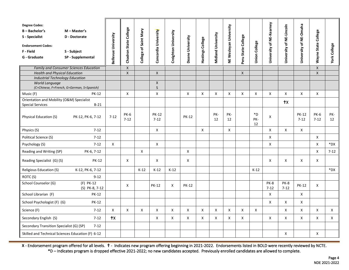| <b>Degree Codes:</b><br>$B - B$ achelor's<br>S - Specialist<br><b>Endorsement Codes:</b><br>F - Field<br>G - Graduate | M - Master's<br>D - Doctorate<br>S - Subject<br>SP - Supplemental | Bellevue University | College<br><b>Chadron State</b> | College of Saint Mary     | Concordia University     | Creighton University | Doane University | Hastings College | Midland University | NE Wesleyan University | Peru State College | <b>Union College</b> | University of NE-Kearney | University of NE-Lincoln | University of NE-Omaha   | <b>Wayne State College</b> | <b>York College</b> |
|-----------------------------------------------------------------------------------------------------------------------|-------------------------------------------------------------------|---------------------|---------------------------------|---------------------------|--------------------------|----------------------|------------------|------------------|--------------------|------------------------|--------------------|----------------------|--------------------------|--------------------------|--------------------------|----------------------------|---------------------|
|                                                                                                                       | <b>Family and Consumer Sciences Education</b>                     |                     | $\mathsf{X}$                    |                           |                          |                      |                  |                  |                    |                        |                    |                      |                          |                          |                          | $\pmb{\mathsf{X}}$         |                     |
| <b>Health and Physical Education</b>                                                                                  |                                                                   |                     | $\mathsf{X}$                    |                           | X                        |                      |                  |                  |                    |                        | $\mathsf{X}$       |                      |                          |                          |                          | $\mathsf{X}$               |                     |
| <b>Industrial Technology Education</b><br>World Language<br>(C=Chinese, F=French, G=German, S=Spanish)                |                                                                   |                     |                                 |                           | X<br>$\mathsf{S}$        |                      |                  |                  |                    |                        |                    |                      |                          |                          |                          |                            |                     |
| Music (F)                                                                                                             | <b>PK-12</b>                                                      |                     | X                               |                           | X                        |                      | X                | Χ                | X                  | X                      | X                  | X                    | X                        | X                        | X                        | X                          |                     |
| Orientation and Mobility (O&M) Specialist<br>$B-21$<br><b>Special Services</b>                                        |                                                                   |                     |                                 |                           |                          |                      |                  |                  |                    |                        |                    |                      |                          | $+x$                     |                          |                            |                     |
| Physical Education (S)                                                                                                | PK-12, PK-6, 7-12                                                 | $7 - 12$            | <b>PK-6</b><br>$7 - 12$         |                           | <b>PK-12</b><br>$7 - 12$ |                      | <b>PK-12</b>     |                  | PK-<br>12          | PK-<br>12              |                    | *D<br>PK-<br>12      | X                        |                          | <b>PK-12</b><br>$7 - 12$ | <b>PK-6</b><br>$7 - 12$    | PK-<br>12           |
| Physics (S)                                                                                                           | $7 - 12$                                                          |                     |                                 |                           | X                        |                      |                  | $\mathsf{x}$     |                    | X                      |                    |                      | X                        | X                        | $\mathsf{x}$             |                            |                     |
| Political Science (S)                                                                                                 | $7 - 12$                                                          |                     |                                 |                           |                          |                      |                  |                  |                    |                        |                    |                      | X                        |                          |                          | X                          |                     |
| Psychology (S)                                                                                                        | $7 - 12$                                                          | $\mathsf{X}$        |                                 |                           | $\mathsf{X}$             |                      |                  |                  |                    |                        |                    |                      | X                        |                          |                          | X                          | *DX                 |
| Reading and Writing (SP)                                                                                              | PK-6, 7-12                                                        |                     |                                 | X                         |                          |                      | X                |                  |                    |                        |                    |                      |                          |                          |                          | X                          | $7 - 12$            |
| Reading Specialist (G) (S)                                                                                            | <b>PK-12</b>                                                      |                     | X                               |                           | X                        |                      | X                |                  |                    |                        |                    |                      | X                        | X                        | X                        | Χ                          |                     |
| Religious Education (S)                                                                                               | K-12, PK-6, 7-12                                                  |                     |                                 | $K-12$                    | $K-12$                   | $K-12$               |                  |                  |                    |                        |                    | $K-12$               |                          |                          |                          |                            | $*$ DX              |
| ROTC (S)                                                                                                              | $9 - 12$                                                          |                     |                                 |                           |                          |                      |                  |                  |                    |                        |                    |                      |                          |                          |                          |                            |                     |
| School Counselor (G)                                                                                                  | $(F)$ PK-12<br>(S) PK-8, 7-12                                     |                     | X                               |                           | <b>PK-12</b>             | X                    | <b>PK-12</b>     |                  |                    |                        |                    |                      | PK-8<br>$7 - 12$         | <b>PK-8</b><br>$7 - 12$  | <b>PK-12</b>             | X                          |                     |
| School Librarian (F)                                                                                                  | <b>PK-12</b>                                                      |                     |                                 |                           |                          |                      |                  |                  |                    |                        |                    |                      | X                        |                          | X                        |                            |                     |
| School Psychologist (F) (G)                                                                                           | <b>PK-12</b>                                                      |                     |                                 |                           |                          |                      |                  |                  |                    |                        |                    |                      | X                        | X                        | X                        |                            |                     |
| Science (F)                                                                                                           | $7 - 12$                                                          | $\mathsf{x}$        | $\mathsf{x}$                    | $\boldsymbol{\mathsf{X}}$ | X                        | $\mathsf{x}$         | $\mathsf{x}$     | $\mathsf{x}$     | $\mathsf{x}$       | $\mathsf{X}$           | $\mathsf{X}$       | $\mathsf{X}$         |                          | $\mathsf{X}$             | $\mathsf{X}$             | $\mathsf{x}$               | $\mathsf{X}$        |
| Secondary English (S)                                                                                                 | $7-12$                                                            | $+x$                |                                 |                           | X                        | X                    | $\mathsf{x}$     | $\mathsf{x}$     | X                  | $\mathsf{X}$           | X                  |                      | X                        | X                        | $\mathsf{X}$             | $\mathsf{x}$               | $\mathsf{X}$        |
| Secondary Transition Specialist (G) (SP)                                                                              | $7 - 12$                                                          |                     |                                 |                           |                          |                      |                  |                  |                    |                        |                    |                      |                          |                          |                          |                            |                     |
| Skilled and Technical Sciences Education (F) 6-12                                                                     |                                                                   |                     |                                 |                           |                          |                      |                  |                  |                    |                        |                    |                      |                          | X                        |                          | Χ                          |                     |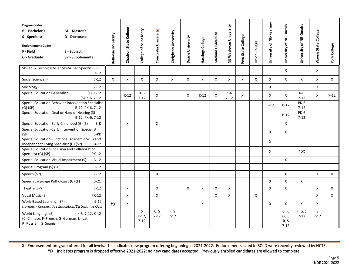| <b>Degree Codes:</b><br>$B - B$ achelor's<br>S - Specialist<br><b>Endorsement Codes:</b><br>F - Field<br>G - Graduate | M - Master's<br>D - Doctorate<br>S - Subject<br>SP - Supplemental | Bellevue University       | Chadron State College | College of Saint Mary   | Concordia University | Creighton University | Doane University | Hastings College | <b>Midland University</b> | NE Wesleyan University | Peru State College | <b>Union College</b> | University of NE-Kearney | University of NE-Lincoln           | University of NE-Omaha  | Wayne State College | <b>York College</b> |
|-----------------------------------------------------------------------------------------------------------------------|-------------------------------------------------------------------|---------------------------|-----------------------|-------------------------|----------------------|----------------------|------------------|------------------|---------------------------|------------------------|--------------------|----------------------|--------------------------|------------------------------------|-------------------------|---------------------|---------------------|
| Skilled & Technical Sciences-Skilled Specific (SP)<br>$9 - 12$                                                        |                                                                   |                           |                       |                         |                      |                      |                  |                  |                           |                        |                    |                      |                          | X                                  |                         | X                   |                     |
| Social Science (F)                                                                                                    | $7 - 12$                                                          | $\boldsymbol{\mathsf{X}}$ | X                     | Χ                       | X                    | X                    | $\mathsf{x}$     | X                | X                         | X                      | X                  | X                    | X                        | X                                  | $\mathsf{x}$            | X                   | $\mathsf{X}$        |
| Sociology (S)                                                                                                         | $7 - 12$                                                          |                           |                       |                         |                      |                      |                  |                  |                           |                        |                    |                      | X                        |                                    |                         | X                   |                     |
| <b>Special Education Generalist</b>                                                                                   | $(F)$ K-12<br>(S) K-6, 7-12                                       |                           | $K-12$                | K-6<br>$7 - 12$         | X                    |                      | X                | $K-12$           | X                         | K-6<br>$7 - 12$        | X                  |                      | X                        | X                                  | K-6<br>$7 - 12$         | X                   | $K-12$              |
| Special Education-Behavior Intervention Specialist<br>$(G)$ (SP)<br>B-12, PK-6, 7-12                                  |                                                                   |                           |                       |                         |                      |                      |                  |                  |                           |                        |                    |                      | $B-12$                   | $B-12$                             | <b>PK-6</b><br>$7 - 12$ |                     |                     |
| Special Education-Deaf or Hard of Hearing (S)<br>B-12, PK-6, 7-12                                                     |                                                                   |                           |                       |                         |                      |                      |                  |                  |                           |                        |                    |                      |                          | $B-12$                             | <b>PK-6</b><br>$7 - 12$ |                     |                     |
| Special Education-Early Childhood (G) (S)                                                                             | B-K                                                               |                           | X                     |                         | X                    |                      |                  |                  |                           |                        |                    |                      |                          | X                                  |                         |                     |                     |
| Special Education-Early Intervention Specialist                                                                       |                                                                   |                           |                       |                         |                      |                      |                  |                  |                           |                        |                    |                      | X                        | X                                  |                         |                     |                     |
| (SP)                                                                                                                  | B-PK<br>Special Education-Functional Academic Skills and          |                           |                       |                         |                      |                      |                  |                  |                           |                        |                    |                      | X                        |                                    |                         |                     |                     |
| $B-12$<br>Independent Living Specialist (G) (SP)                                                                      |                                                                   |                           |                       |                         |                      |                      |                  |                  |                           |                        |                    |                      |                          |                                    |                         |                     |                     |
| Special Education-Inclusion and Collaboration<br>Specialist (G) (SP)<br><b>PK-12</b>                                  |                                                                   |                           |                       |                         |                      |                      |                  |                  |                           |                        |                    |                      | X                        |                                    | *DX                     |                     |                     |
| Special Education-Visual Impairment (S)                                                                               | $B-12$                                                            |                           |                       |                         |                      |                      |                  |                  |                           |                        |                    |                      |                          | X                                  |                         |                     |                     |
| Special Program (S) (SP)                                                                                              | $9 - 12$                                                          |                           |                       |                         |                      |                      |                  |                  |                           |                        |                    |                      |                          |                                    |                         |                     |                     |
| Speech (SP)                                                                                                           | $7 - 12$                                                          |                           |                       |                         | X                    |                      |                  |                  |                           |                        |                    |                      |                          | X                                  |                         | X                   | X                   |
| Speech Language Pathologist (G) (F)                                                                                   | $B-21$                                                            |                           |                       |                         |                      |                      |                  |                  |                           |                        |                    |                      | X                        | X                                  | X                       |                     |                     |
| Theatre (SP)                                                                                                          | $7 - 12$                                                          |                           | X                     |                         | X                    |                      | Χ                | X                | X                         | X                      |                    |                      | X                        | X                                  |                         | X                   | X                   |
| Vocal Music (S)                                                                                                       | <b>PK-12</b>                                                      |                           | X                     |                         | X                    |                      |                  |                  | X                         | X                      |                    | $\mathsf{X}$         |                          |                                    |                         | X                   | $\mathsf{X}$        |
| Work-Based Learning (SP)                                                                                              | $9 - 12$<br>(formerly Cooperative Education/Distributive Occ)     | $+x$                      | X                     |                         |                      |                      |                  | X                |                           |                        |                    |                      | X                        | X                                  | X                       | X                   |                     |
| World Language (S)<br>(C=Chinese, F=French, G=German, L= Latin,<br>R=Russian, S=Spanish)                              | K-8, 7-12, K-12                                                   |                           |                       | S<br>$K-12$<br>$7 - 12$ | C, S<br>$7 - 12$     | F, S<br>$7 - 12$     |                  |                  |                           |                        |                    |                      |                          | C, F,<br>G, L,<br>R, S<br>$7 - 12$ | F, G, S<br>$7 - 12$     | S<br>$7 - 12$       |                     |